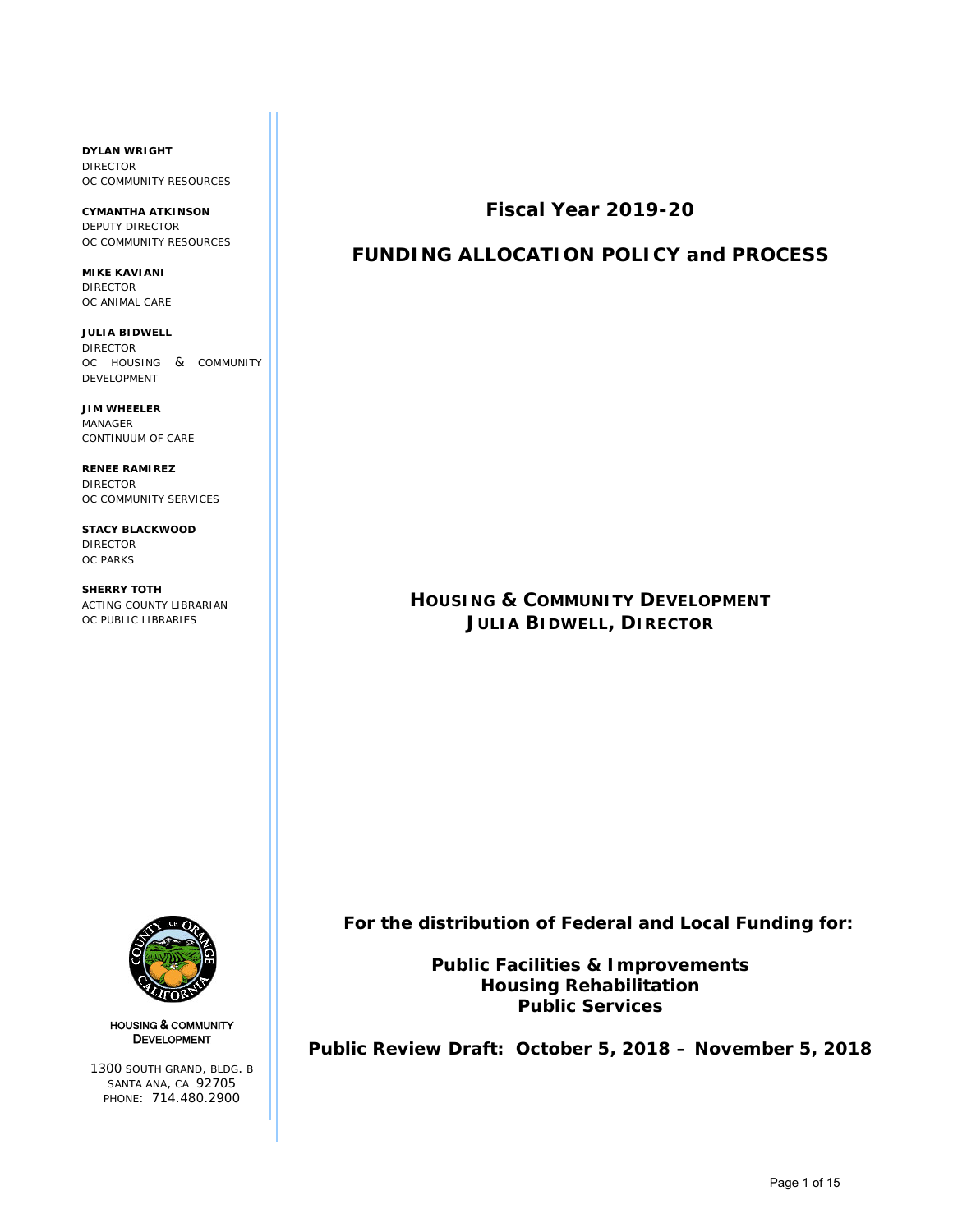**DYLAN WRIGHT** DIRECTOR OC COMMUNITY RESOURCES

**CYMANTHA ATKINSON** DEPUTY DIRECTOR OC COMMUNITY RESOURCES

**MIKE KAVIANI** DIRECTOR OC ANIMAL CARE

**JULIA BIDWELL** DIRECTOR OC HOUSING & COMMUNITY DEVELOPMENT

**JIM WHEELER** MANAGER CONTINUUM OF CARE

**RENEE RAMIREZ** DIRECTOR OC COMMUNITY SERVICES

**STACY BLACKWOOD** DIRECTOR OC PARKS

**SHERRY TOTH** ACTING COUNTY LIBRARIAN OC PUBLIC LIBRARIES



# **FUNDING ALLOCATION POLICY and PROCESS**

# **HOUSING & COMMUNITY DEVELOPMENT JULIA BIDWELL, DIRECTOR**



HOUSING & COMMUNITY DEVELOPMENT

1300 SOUTH GRAND, BLDG. B SANTA ANA, CA 92705 PHONE: 714.480.2900

 **For the distribution of Federal and Local Funding for:**

**Public Facilities & Improvements Housing Rehabilitation Public Services**

**Public Review Draft: October 5, 2018 – November 5, 2018**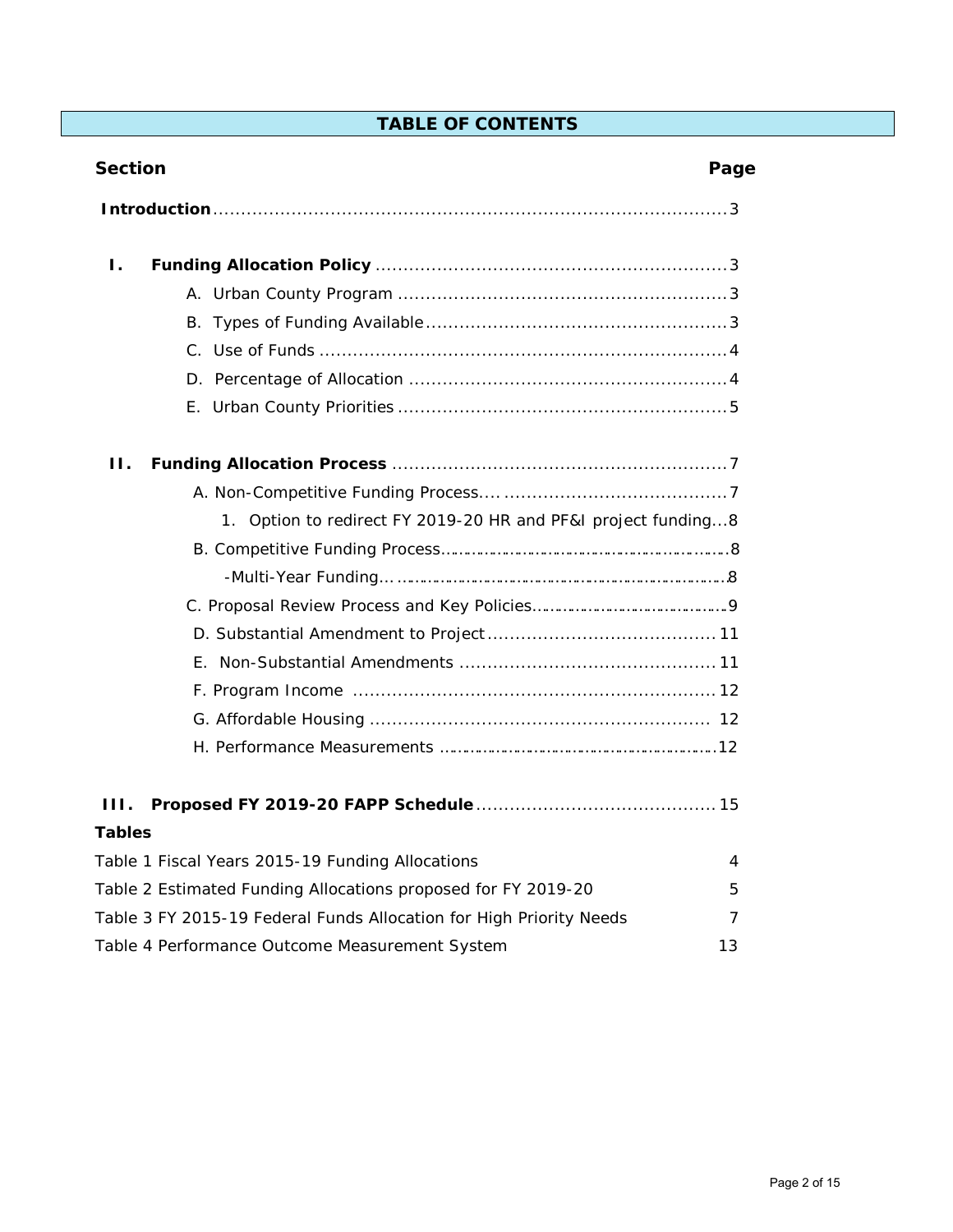# **TABLE OF CONTENTS**

| <b>Section</b>                                                      | Page |
|---------------------------------------------------------------------|------|
|                                                                     |      |
| Ι.                                                                  |      |
|                                                                     |      |
|                                                                     |      |
|                                                                     |      |
|                                                                     |      |
|                                                                     |      |
| Н.                                                                  |      |
|                                                                     |      |
| 1. Option to redirect FY 2019-20 HR and PF&I project funding8       |      |
|                                                                     |      |
|                                                                     |      |
|                                                                     |      |
|                                                                     |      |
|                                                                     |      |
|                                                                     |      |
|                                                                     |      |
|                                                                     |      |
| Ш.                                                                  |      |
| <b>Tables</b>                                                       |      |
| Table 1 Fiscal Years 2015-19 Funding Allocations                    | 4    |
| Table 2 Estimated Funding Allocations proposed for FY 2019-20       | 5    |
| Table 3 FY 2015-19 Federal Funds Allocation for High Priority Needs | 7    |
| Table 4 Performance Outcome Measurement System                      | 13   |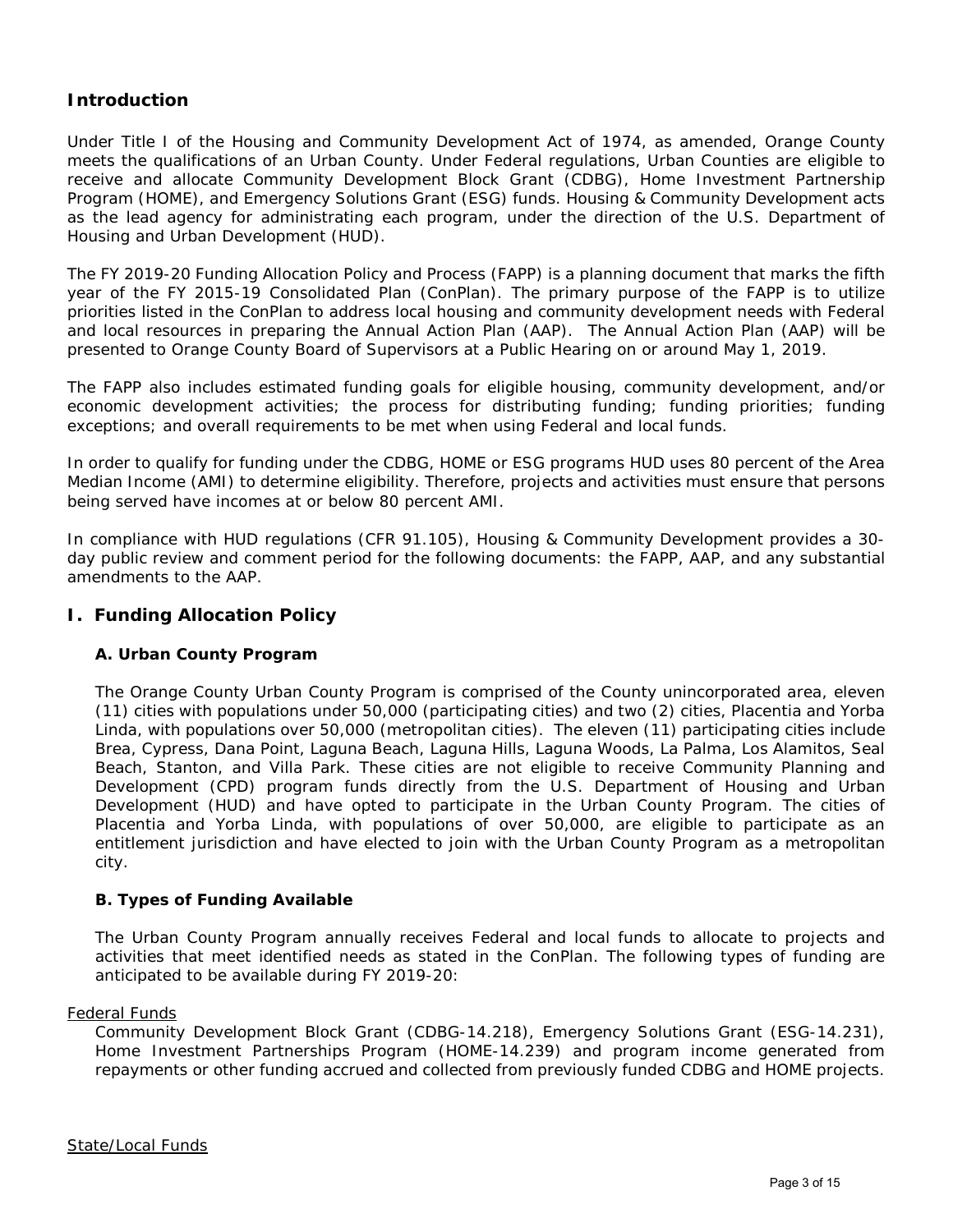# **Introduction**

Under Title I of the Housing and Community Development Act of 1974, as amended, Orange County meets the qualifications of an Urban County. Under Federal regulations, Urban Counties are eligible to receive and allocate Community Development Block Grant (CDBG), Home Investment Partnership Program (HOME), and Emergency Solutions Grant (ESG) funds. Housing & Community Development acts as the lead agency for administrating each program, under the direction of the U.S. Department of Housing and Urban Development (HUD).

The FY 2019-20 Funding Allocation Policy and Process (FAPP) is a planning document that marks the fifth year of the FY 2015-19 Consolidated Plan (ConPlan). The primary purpose of the FAPP is to utilize priorities listed in the ConPlan to address local housing and community development needs with Federal and local resources in preparing the Annual Action Plan (AAP). The Annual Action Plan (AAP) will be presented to Orange County Board of Supervisors at a Public Hearing on or around May 1, 2019.

The FAPP also includes estimated funding goals for eligible housing, community development, and/or economic development activities; the process for distributing funding; funding priorities; funding exceptions; and overall requirements to be met when using Federal and local funds.

In order to qualify for funding under the CDBG, HOME or ESG programs HUD uses 80 percent of the Area Median Income (AMI) to determine eligibility. Therefore, projects and activities must ensure that persons being served have incomes at or below 80 percent AMI.

In compliance with HUD regulations (CFR 91.105), Housing & Community Development provides a 30 day public review and comment period for the following documents: the FAPP, AAP, and any substantial amendments to the AAP.

# **I. Funding Allocation Policy**

# **A. Urban County Program**

The Orange County Urban County Program is comprised of the County unincorporated area, eleven (11) cities with populations under 50,000 (participating cities) and two (2) cities, Placentia and Yorba Linda, with populations over 50,000 (metropolitan cities). The eleven (11) participating cities include Brea, Cypress, Dana Point, Laguna Beach, Laguna Hills, Laguna Woods, La Palma, Los Alamitos, Seal Beach, Stanton, and Villa Park. These cities are not eligible to receive Community Planning and Development (CPD) program funds directly from the U.S. Department of Housing and Urban Development (HUD) and have opted to participate in the Urban County Program. The cities of Placentia and Yorba Linda, with populations of over 50,000, are eligible to participate as an entitlement jurisdiction and have elected to join with the Urban County Program as a metropolitan city.

# **B. Types of Funding Available**

The Urban County Program annually receives Federal and local funds to allocate to projects and activities that meet identified needs as stated in the ConPlan. The following types of funding are anticipated to be available during FY 2019-20:

#### Federal Funds

Community Development Block Grant (CDBG-14.218), Emergency Solutions Grant (ESG-14.231), Home Investment Partnerships Program (HOME-14.239) and program income generated from repayments or other funding accrued and collected from previously funded CDBG and HOME projects.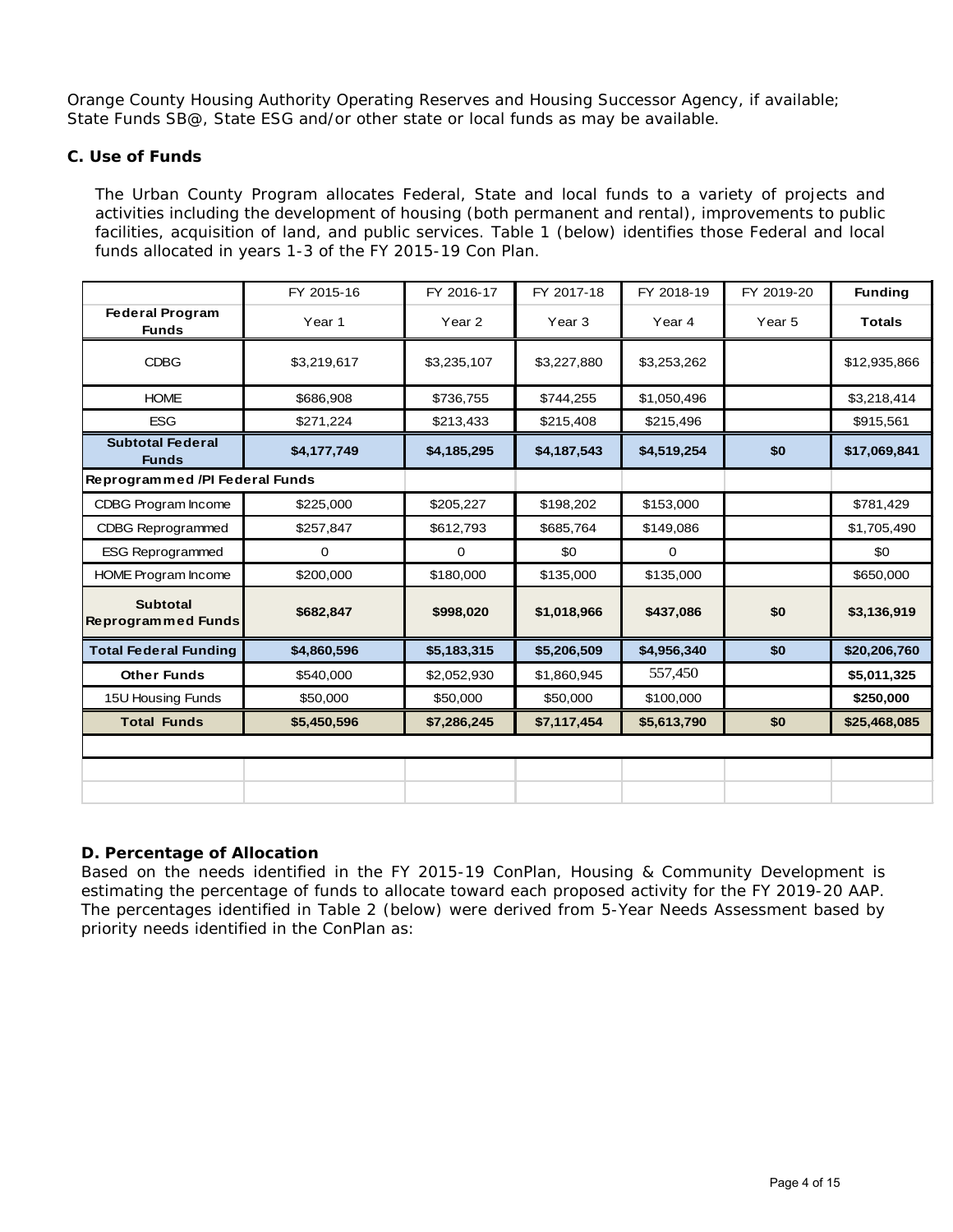Orange County Housing Authority Operating Reserves and Housing Successor Agency, if available; State Funds SB@, State ESG and/or other state or local funds as may be available.

# **C. Use of Funds**

The Urban County Program allocates Federal, State and local funds to a variety of projects and activities including the development of housing (both permanent and rental), improvements to public facilities, acquisition of land, and public services. Table 1 (below) identifies those Federal and local funds allocated in years 1-3 of the FY 2015-19 Con Plan.

|                                              | FY 2015-16  | FY 2016-17  | FY 2017-18  | FY 2018-19  | FY 2019-20        | <b>Funding</b> |
|----------------------------------------------|-------------|-------------|-------------|-------------|-------------------|----------------|
| <b>Federal Program</b><br><b>Funds</b>       | Year 1      | Year 2      | Year 3      | Year 4      | Year <sub>5</sub> | <b>Totals</b>  |
| <b>CDBG</b>                                  | \$3,219,617 | \$3,235,107 | \$3,227,880 | \$3,253,262 |                   | \$12,935,866   |
| <b>HOME</b>                                  | \$686,908   | \$736,755   | \$744,255   | \$1,050,496 |                   | \$3,218,414    |
| <b>ESG</b>                                   | \$271,224   | \$213,433   | \$215,408   | \$215,496   |                   | \$915,561      |
| <b>Subtotal Federal</b><br><b>Funds</b>      | \$4,177,749 | \$4,185,295 | \$4,187,543 | \$4,519,254 | \$0               | \$17,069,841   |
| Reprogrammed /PI Federal Funds               |             |             |             |             |                   |                |
| CDBG Program Income                          | \$225,000   | \$205,227   | \$198,202   | \$153,000   |                   | \$781,429      |
| <b>CDBG Reprogrammed</b>                     | \$257,847   | \$612,793   | \$685,764   | \$149,086   |                   | \$1,705,490    |
| <b>ESG Reprogrammed</b>                      | 0           | $\mathbf 0$ | \$0         | $\mathbf 0$ |                   | \$0            |
| HOME Program Income                          | \$200,000   | \$180,000   | \$135,000   | \$135,000   |                   | \$650,000      |
| <b>Subtotal</b><br><b>Reprogrammed Funds</b> | \$682,847   | \$998,020   | \$1,018,966 | \$437,086   | \$0               | \$3,136,919    |
| <b>Total Federal Funding</b>                 | \$4,860,596 | \$5,183,315 | \$5,206,509 | \$4,956,340 | \$0               | \$20,206,760   |
| <b>Other Funds</b>                           | \$540,000   | \$2,052,930 | \$1,860,945 | 557,450     |                   | \$5,011,325    |
| 15U Housing Funds                            | \$50,000    | \$50,000    | \$50,000    | \$100,000   |                   | \$250,000      |
| <b>Total Funds</b>                           | \$5,450,596 | \$7,286,245 | \$7,117,454 | \$5,613,790 | \$0               | \$25,468,085   |
|                                              |             |             |             |             |                   |                |
|                                              |             |             |             |             |                   |                |
|                                              |             |             |             |             |                   |                |

# **D. Percentage of Allocation**

Based on the needs identified in the FY 2015-19 ConPlan, Housing & Community Development is estimating the percentage of funds to allocate toward each proposed activity for the FY 2019-20 AAP. The percentages identified in Table 2 (below) were derived from 5-Year Needs Assessment based by priority needs identified in the ConPlan as: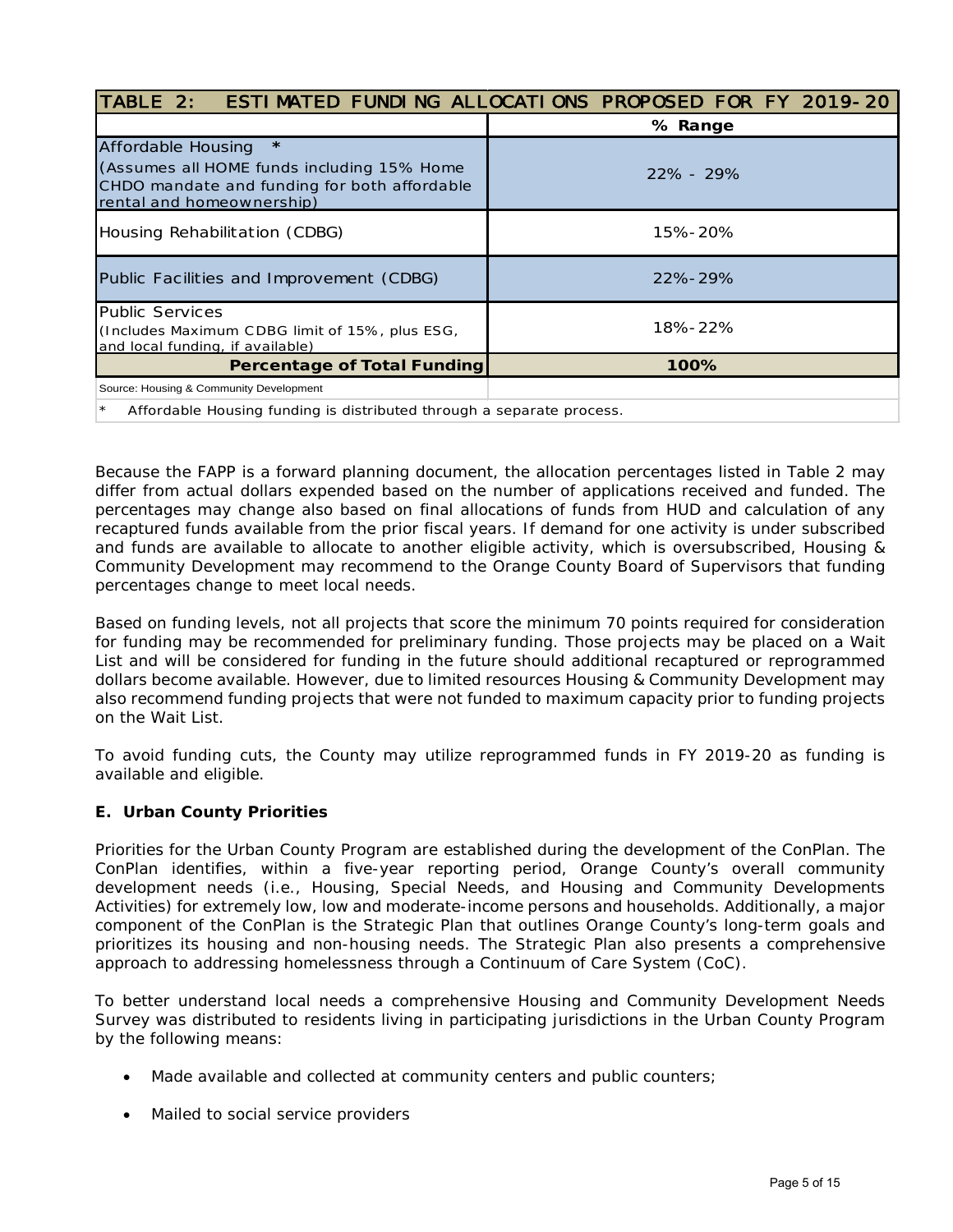|                                                                                                                                                                 | TABLE 2: ESTIMATED FUNDING ALLOCATIONS PROPOSED FOR FY 2019-20 |  |  |
|-----------------------------------------------------------------------------------------------------------------------------------------------------------------|----------------------------------------------------------------|--|--|
|                                                                                                                                                                 | % Range                                                        |  |  |
| $\star$<br><b>Affordable Housing</b><br>(Assumes all HOME funds including 15% Home<br>CHDO mandate and funding for both affordable<br>rental and homeownership) | $22\% - 29\%$                                                  |  |  |
| Housing Rehabilitation (CDBG)                                                                                                                                   | 15%-20%                                                        |  |  |
| Public Facilities and Improvement (CDBG)                                                                                                                        | 22%-29%                                                        |  |  |
| <b>Public Services</b><br>(Includes Maximum CDBG limit of 15%, plus ESG,<br>and local funding, if available)                                                    | 18%-22%                                                        |  |  |
| <b>Percentage of Total Funding</b>                                                                                                                              | 100%                                                           |  |  |
| Source: Housing & Community Development                                                                                                                         |                                                                |  |  |
| Affordable Housing funding is distributed through a separate process.                                                                                           |                                                                |  |  |

Because the FAPP is a forward planning document, the allocation percentages listed in Table 2 may differ from actual dollars expended based on the number of applications received and funded. The percentages may change also based on final allocations of funds from HUD and calculation of any recaptured funds available from the prior fiscal years. If demand for one activity is under subscribed and funds are available to allocate to another eligible activity, which is oversubscribed, Housing & Community Development may recommend to the Orange County Board of Supervisors that funding percentages change to meet local needs.

Based on funding levels, not all projects that score the minimum 70 points required for consideration for funding may be recommended for preliminary funding. Those projects may be placed on a Wait List and will be considered for funding in the future should additional recaptured or reprogrammed dollars become available. However, due to limited resources Housing & Community Development may also recommend funding projects that were not funded to maximum capacity prior to funding projects on the Wait List.

To avoid funding cuts, the County may utilize reprogrammed funds in FY 2019-20 as funding is available and eligible.

# **E. Urban County Priorities**

Priorities for the Urban County Program are established during the development of the ConPlan. The ConPlan identifies, within a five-year reporting period, Orange County's overall community development needs (i.e., Housing, Special Needs, and Housing and Community Developments Activities) for extremely low, low and moderate-income persons and households. Additionally, a major component of the ConPlan is the Strategic Plan that outlines Orange County's long-term goals and prioritizes its housing and non-housing needs. The Strategic Plan also presents a comprehensive approach to addressing homelessness through a Continuum of Care System (CoC).

To better understand local needs a comprehensive Housing and Community Development Needs Survey was distributed to residents living in participating jurisdictions in the Urban County Program by the following means:

- Made available and collected at community centers and public counters;
- Mailed to social service providers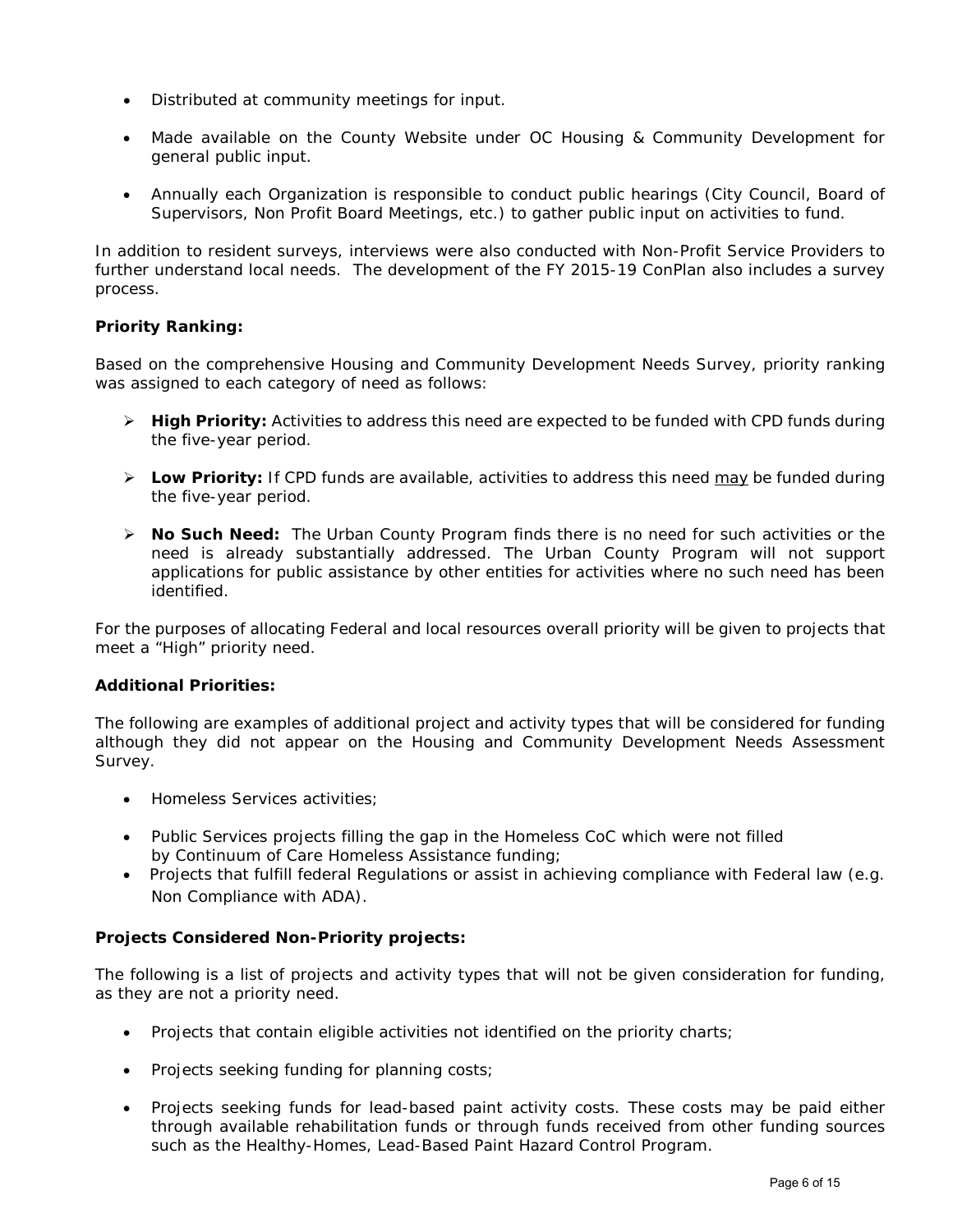- Distributed at community meetings for input.
- Made available on the County Website under OC Housing & Community Development for general public input.
- Annually each Organization is responsible to conduct public hearings (City Council, Board of Supervisors, Non Profit Board Meetings, etc.) to gather public input on activities to fund.

In addition to resident surveys, interviews were also conducted with Non-Profit Service Providers to further understand local needs. The development of the FY 2015-19 ConPlan also includes a survey process.

# **Priority Ranking:**

Based on the comprehensive Housing and Community Development Needs Survey, priority ranking was assigned to each category of need as follows:

- **High Priority:** Activities to address this need are expected to be funded with CPD funds during the five-year period.
- **Low Priority:** If CPD funds are available, activities to address this need may be funded during the five-year period.
- **No Such Need:** The Urban County Program finds there is no need for such activities or the need is already substantially addressed. The Urban County Program will not support applications for public assistance by other entities for activities where no such need has been identified.

For the purposes of allocating Federal and local resources overall priority will be given to projects that meet a "High" priority need.

#### **Additional Priorities:**

The following are examples of additional project and activity types that will be considered for funding although they did not appear on the Housing and Community Development Needs Assessment Survey.

- Homeless Services activities;
- Public Services projects filling the gap in the Homeless CoC which were not filled by Continuum of Care Homeless Assistance funding;
- Projects that fulfill federal Regulations or assist in achieving compliance with Federal law (e.g. Non Compliance with ADA).

# **Projects Considered Non-Priority projects:**

The following is a list of projects and activity types that will not be given consideration for funding, as they are not a priority need.

- Projects that contain eligible activities not identified on the priority charts;
- Projects seeking funding for planning costs;
- Projects seeking funds for lead-based paint activity costs. These costs may be paid either through available rehabilitation funds or through funds received from other funding sources such as the Healthy-Homes, Lead-Based Paint Hazard Control Program.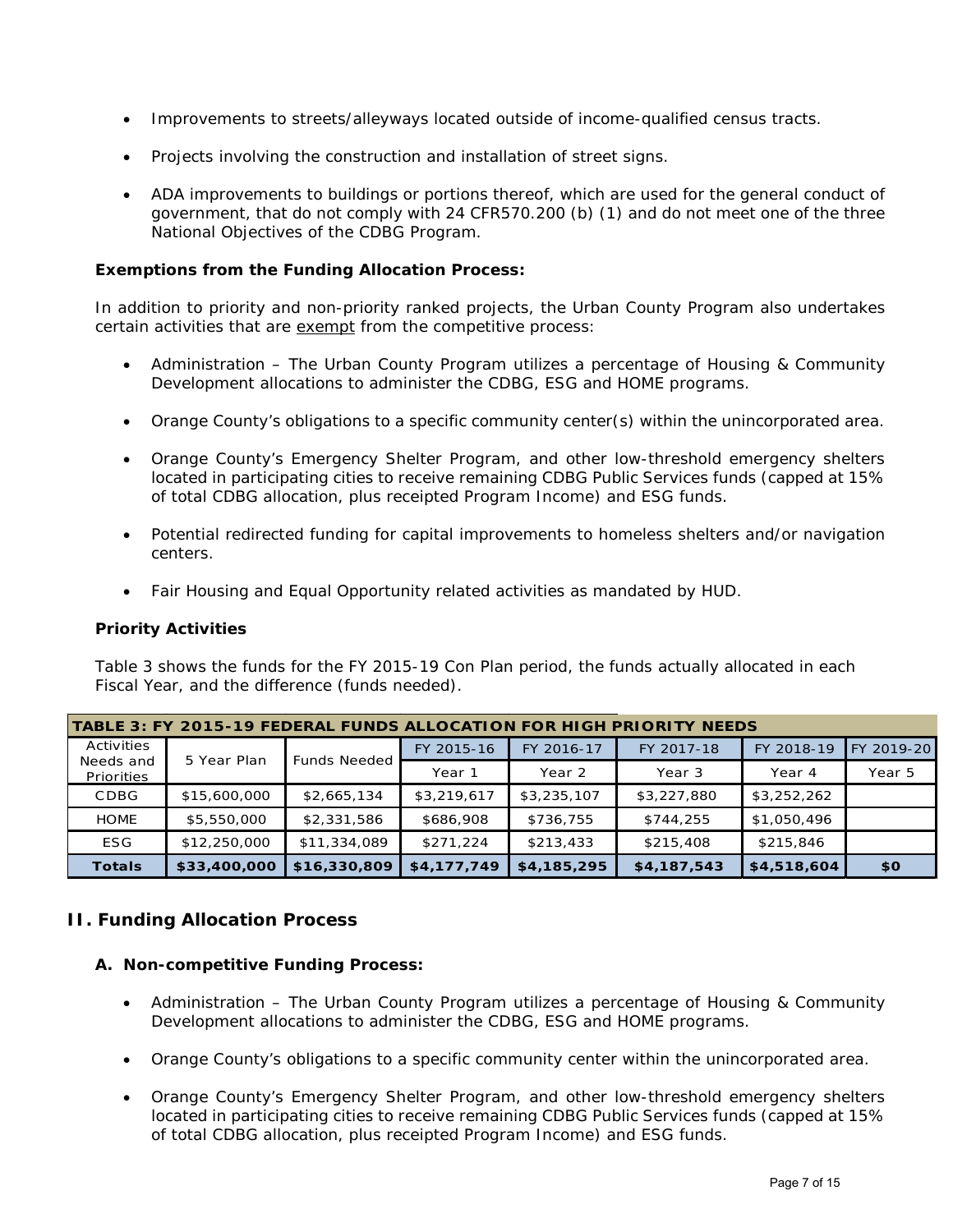- Improvements to streets/alleyways located outside of income-qualified census tracts.
- Projects involving the construction and installation of street signs.
- ADA improvements to buildings or portions thereof, which are used for the general conduct of government, that do not comply with 24 CFR570.200 (b) (1) and do not meet one of the three National Objectives of the CDBG Program.

## **Exemptions from the Funding Allocation Process:**

In addition to priority and non-priority ranked projects, the Urban County Program also undertakes certain activities that are exempt from the competitive process:

- Administration The Urban County Program utilizes a percentage of Housing & Community Development allocations to administer the CDBG, ESG and HOME programs.
- Orange County's obligations to a specific community center(s) within the unincorporated area.
- Orange County's Emergency Shelter Program, and other low-threshold emergency shelters located in participating cities to receive remaining CDBG Public Services funds (capped at 15% of total CDBG allocation, plus receipted Program Income) and ESG funds.
- Potential redirected funding for capital improvements to homeless shelters and/or navigation centers.
- Fair Housing and Equal Opportunity related activities as mandated by HUD.

#### **Priority Activities**

Table 3 shows the funds for the FY 2015-19 Con Plan period, the funds actually allocated in each Fiscal Year, and the difference (funds needed).

| TABLE 3: FY 2015-19 FEDERAL FUNDS ALLOCATION FOR HIGH PRIORITY NEEDS |                                                               |              |             |             |                   |             |            |
|----------------------------------------------------------------------|---------------------------------------------------------------|--------------|-------------|-------------|-------------------|-------------|------------|
| Activities                                                           | <b>Funds Needed</b><br>5 Year Plan<br>Needs and<br>Priorities |              | FY 2015-16  | FY 2016-17  | FY 2017-18        | FY 2018-19  | FY 2019-20 |
|                                                                      |                                                               |              | Year 1      | Year 2      | Year <sub>3</sub> | Year 4      | Year 5     |
| CDBG                                                                 | \$15,600,000                                                  | \$2,665,134  | \$3,219,617 | \$3,235,107 | \$3,227,880       | \$3,252,262 |            |
| <b>HOME</b>                                                          | \$5,550,000                                                   | \$2,331,586  | \$686,908   | \$736,755   | \$744,255         | \$1,050,496 |            |
| <b>ESG</b>                                                           | \$12,250,000                                                  | \$11,334,089 | \$271,224   | \$213,433   | \$215,408         | \$215,846   |            |
| <b>Totals</b>                                                        | \$33,400,000                                                  | \$16,330,809 | \$4,177,749 | \$4,185,295 | \$4,187,543       | \$4,518,604 | \$0        |

# **II. Funding Allocation Process**

#### **A. Non-competitive Funding Process:**

- Administration The Urban County Program utilizes a percentage of Housing & Community Development allocations to administer the CDBG, ESG and HOME programs.
- Orange County's obligations to a specific community center within the unincorporated area.
- Orange County's Emergency Shelter Program, and other low-threshold emergency shelters located in participating cities to receive remaining CDBG Public Services funds (capped at 15% of total CDBG allocation, plus receipted Program Income) and ESG funds.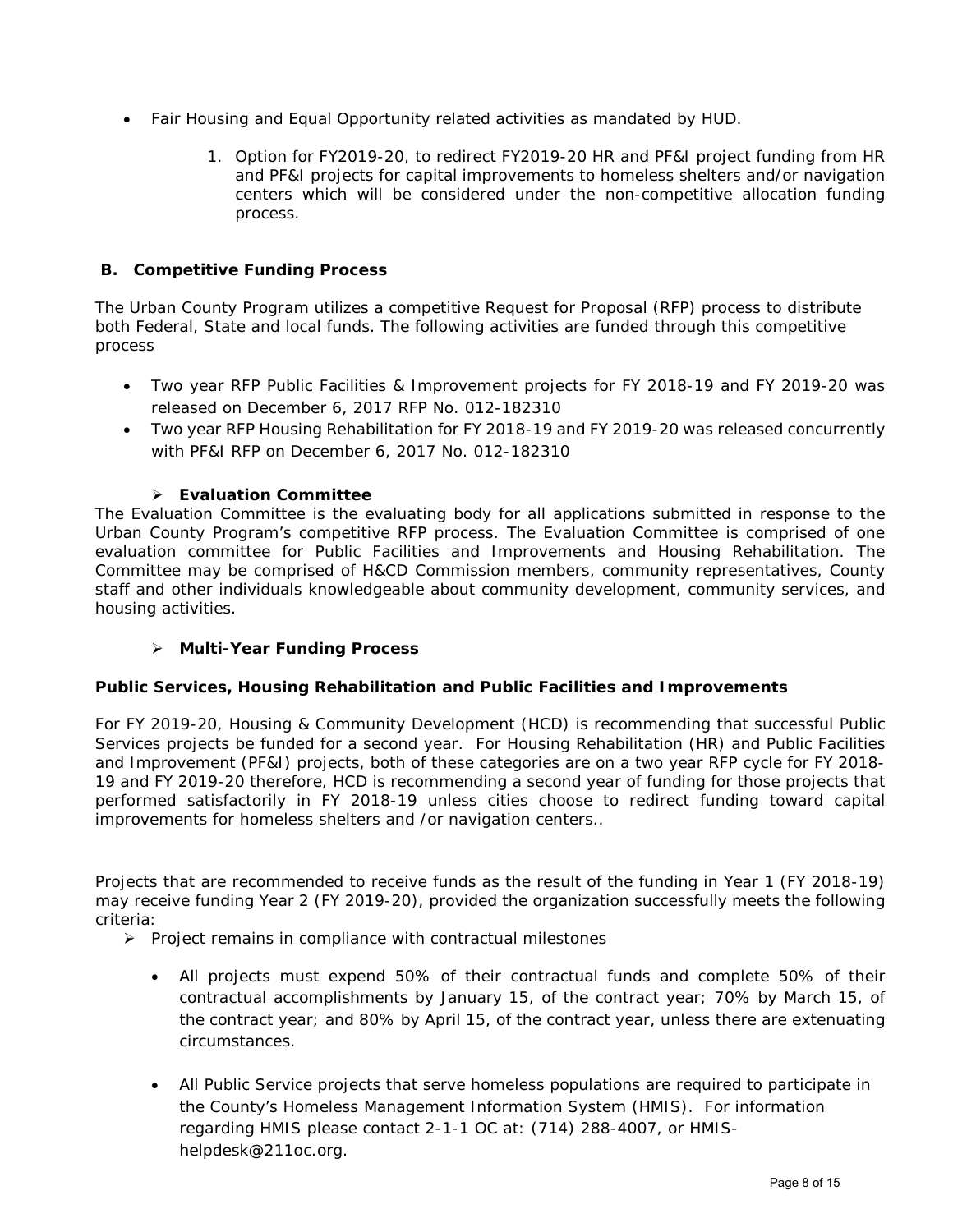- Fair Housing and Equal Opportunity related activities as mandated by HUD.
	- 1. Option for FY2019-20, to redirect FY2019-20 HR and PF&I project funding from HR and PF&I projects for capital improvements to homeless shelters and/or navigation centers which will be considered under the non-competitive allocation funding process.

# **B. Competitive Funding Process**

The Urban County Program utilizes a competitive Request for Proposal (RFP) process to distribute both Federal, State and local funds. The following activities are funded through this competitive process

- Two year RFP Public Facilities & Improvement projects for FY 2018-19 and FY 2019-20 was released on December 6, 2017 RFP No. 012-182310
- Two year RFP Housing Rehabilitation for FY 2018-19 and FY 2019-20 was released concurrently with PF&I RFP on December 6, 2017 No. 012-182310

# **Evaluation Committee**

The Evaluation Committee is the evaluating body for all applications submitted in response to the Urban County Program's competitive RFP process. The Evaluation Committee is comprised of one evaluation committee for Public Facilities and Improvements and Housing Rehabilitation. The Committee may be comprised of H&CD Commission members, community representatives, County staff and other individuals knowledgeable about community development, community services, and housing activities.

# **Multi-Year Funding Process**

#### **Public Services, Housing Rehabilitation and Public Facilities and Improvements**

For FY 2019-20, Housing & Community Development (HCD) is recommending that successful Public Services projects be funded for a second year. For Housing Rehabilitation (HR) and Public Facilities and Improvement (PF&I) projects, both of these categories are on a two year RFP cycle for FY 2018- 19 and FY 2019-20 therefore, HCD is recommending a second year of funding for those projects that performed satisfactorily in FY 2018-19 unless cities choose to redirect funding toward capital improvements for homeless shelters and /or navigation centers..

Projects that are recommended to receive funds as the result of the funding in Year 1 (FY 2018-19) may receive funding Year 2 (FY 2019-20), provided the organization successfully meets the following criteria:

- $\triangleright$  Project remains in compliance with contractual milestones
	- All projects must expend 50% of their contractual funds and complete 50% of their contractual accomplishments by January 15, of the contract year; 70% by March 15, of the contract year; and 80% by April 15, of the contract year, unless there are extenuating circumstances.
	- All Public Service projects that serve homeless populations are required to participate in the County's Homeless Management Information System (HMIS). For information regarding HMIS please contact 2-1-1 OC at: (714) 288-4007, or HMIShelpdesk@211oc.org.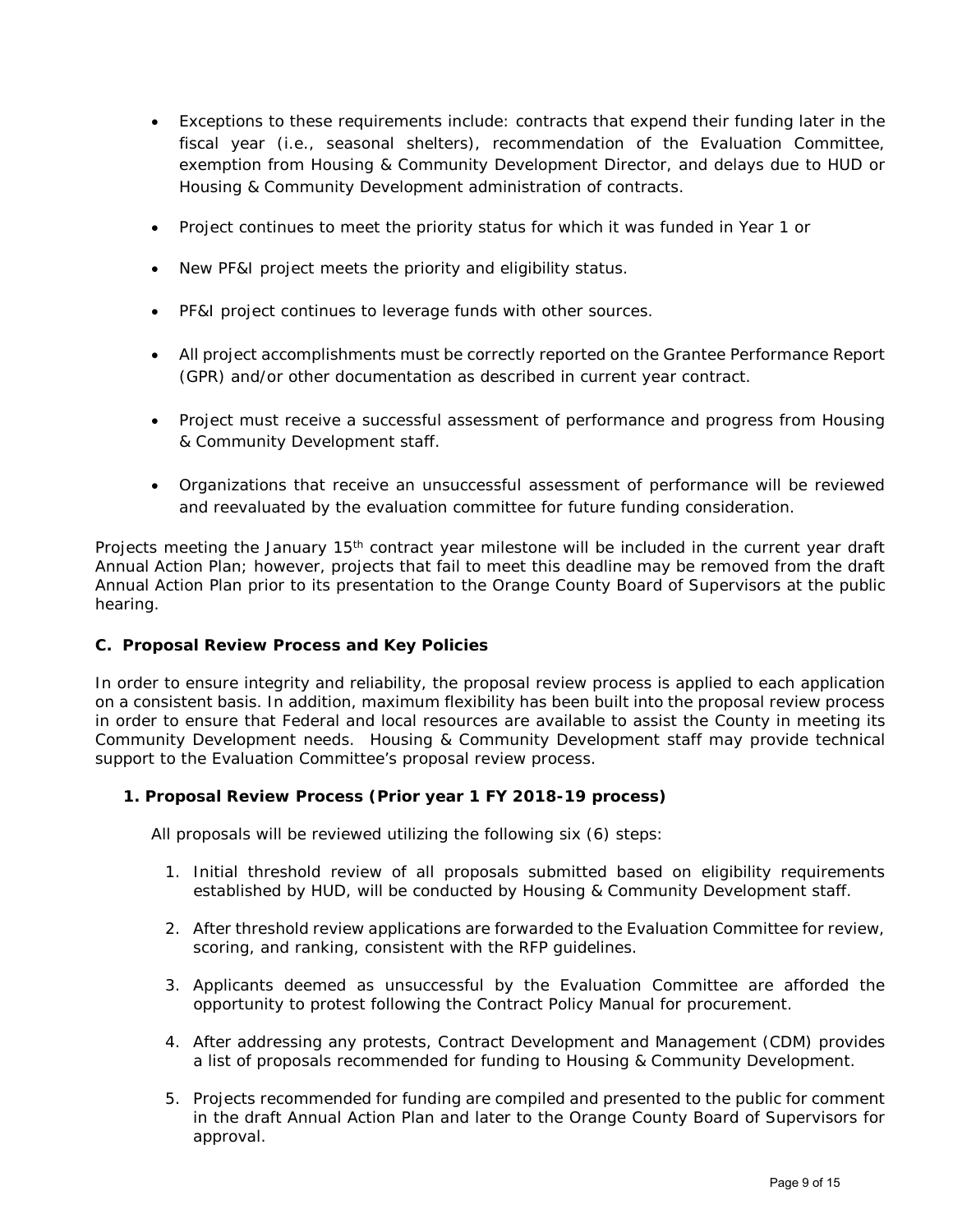- Exceptions to these requirements include: contracts that expend their funding later in the fiscal year (i.e., seasonal shelters), recommendation of the Evaluation Committee, exemption from Housing & Community Development Director, and delays due to HUD or Housing & Community Development administration of contracts.
- Project continues to meet the priority status for which it was funded in Year 1 or
- New PF&I project meets the priority and eligibility status.
- PF&I project continues to leverage funds with other sources.
- All project accomplishments must be correctly reported on the Grantee Performance Report (GPR) and/or other documentation as described in current year contract.
- Project must receive a successful assessment of performance and progress from Housing & Community Development staff.
- Organizations that receive an unsuccessful assessment of performance will be reviewed and reevaluated by the evaluation committee for future funding consideration.

Projects meeting the January 15<sup>th</sup> contract year milestone will be included in the current year draft Annual Action Plan; however, projects that fail to meet this deadline may be removed from the draft Annual Action Plan prior to its presentation to the Orange County Board of Supervisors at the public hearing.

# **C. Proposal Review Process and Key Policies**

In order to ensure integrity and reliability, the proposal review process is applied to each application on a consistent basis. In addition, maximum flexibility has been built into the proposal review process in order to ensure that Federal and local resources are available to assist the County in meeting its Community Development needs. Housing & Community Development staff may provide technical support to the Evaluation Committee's proposal review process.

# **1. Proposal Review Process (Prior year 1 FY 2018-19 process)**

All proposals will be reviewed utilizing the following six (6) steps:

- 1. Initial threshold review of all proposals submitted based on eligibility requirements established by HUD, will be conducted by Housing & Community Development staff.
- 2. After threshold review applications are forwarded to the Evaluation Committee for review, scoring, and ranking, consistent with the RFP guidelines.
- 3. Applicants deemed as unsuccessful by the Evaluation Committee are afforded the opportunity to protest following the Contract Policy Manual for procurement.
- 4. After addressing any protests, Contract Development and Management (CDM) provides a list of proposals recommended for funding to Housing & Community Development.
- 5. Projects recommended for funding are compiled and presented to the public for comment in the draft Annual Action Plan and later to the Orange County Board of Supervisors for approval.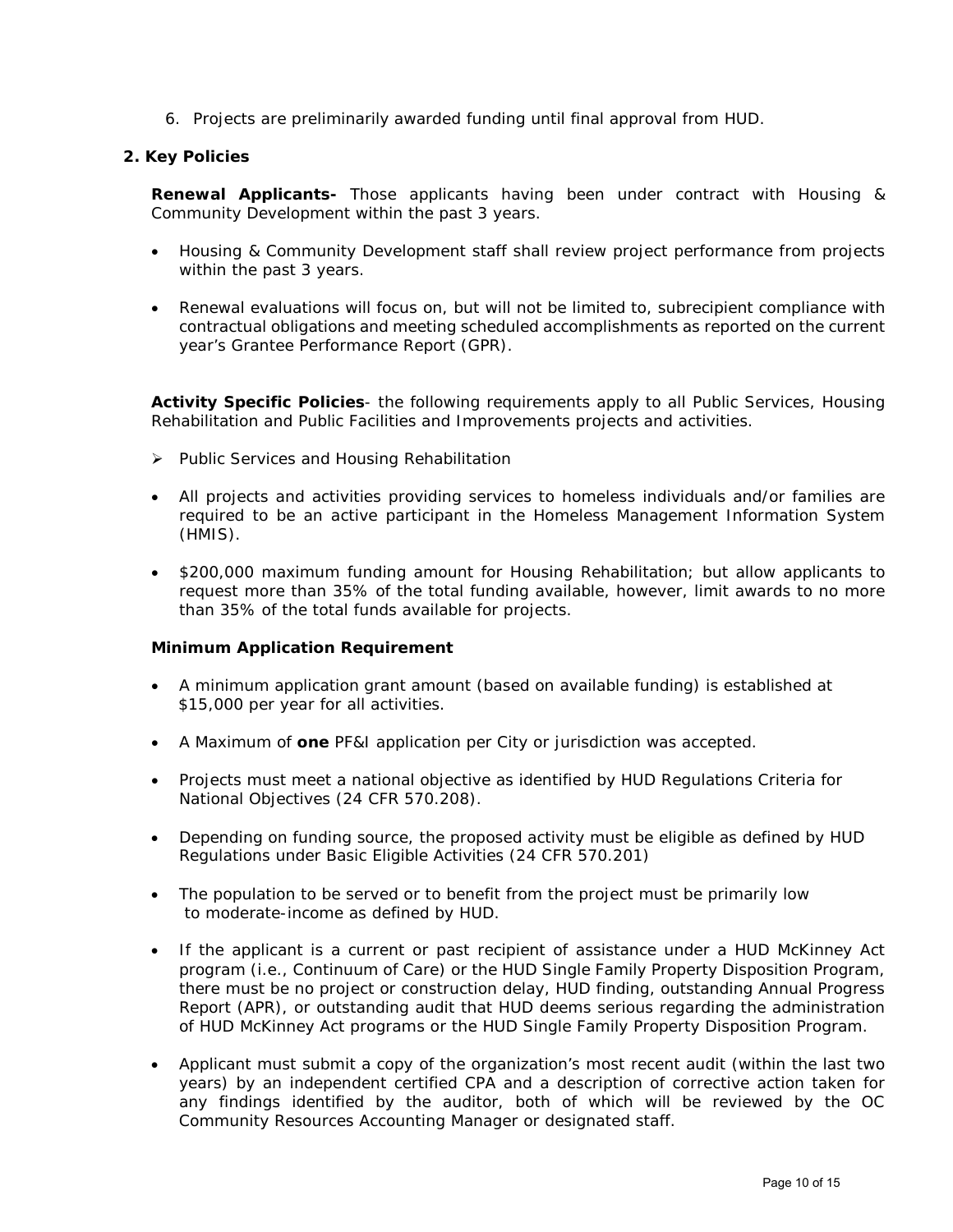6. Projects are preliminarily awarded funding until final approval from HUD.

### **2. Key Policies**

**Renewal Applicants-** Those applicants having been under contract with Housing & Community Development within the past 3 years.

- Housing & Community Development staff shall review project performance from projects within the past 3 years.
- Renewal evaluations will focus on, but will not be limited to, subrecipient compliance with contractual obligations and meeting scheduled accomplishments as reported on the current year's Grantee Performance Report (GPR).

**Activity Specific Policies**- the following requirements apply to all Public Services, Housing Rehabilitation and Public Facilities and Improvements projects and activities.

- $\triangleright$  Public Services and Housing Rehabilitation
- All projects and activities providing services to homeless individuals and/or families are required to be an active participant in the Homeless Management Information System (HMIS).
- \$200,000 maximum funding amount for Housing Rehabilitation; but allow applicants to request more than 35% of the total funding available, however, limit awards to no more than 35% of the total funds available for projects.

#### **Minimum Application Requirement**

- A minimum application grant amount (based on available funding) is established at \$15,000 per year for all activities.
- A Maximum of **one** PF&I application per City or jurisdiction was accepted.
- Projects must meet a national objective as identified by HUD Regulations Criteria for National Objectives (24 CFR 570.208).
- Depending on funding source, the proposed activity must be eligible as defined by HUD Regulations under Basic Eligible Activities (24 CFR 570.201)
- The population to be served or to benefit from the project must be primarily low to moderate-income as defined by HUD.
- If the applicant is a current or past recipient of assistance under a HUD McKinney Act program (i.e., Continuum of Care) or the HUD Single Family Property Disposition Program, there must be no project or construction delay, HUD finding, outstanding Annual Progress Report (APR), or outstanding audit that HUD deems serious regarding the administration of HUD McKinney Act programs or the HUD Single Family Property Disposition Program.
- Applicant must submit a copy of the organization's most recent audit (within the last two years) by an independent certified CPA and a description of corrective action taken for any findings identified by the auditor, both of which will be reviewed by the OC Community Resources Accounting Manager or designated staff.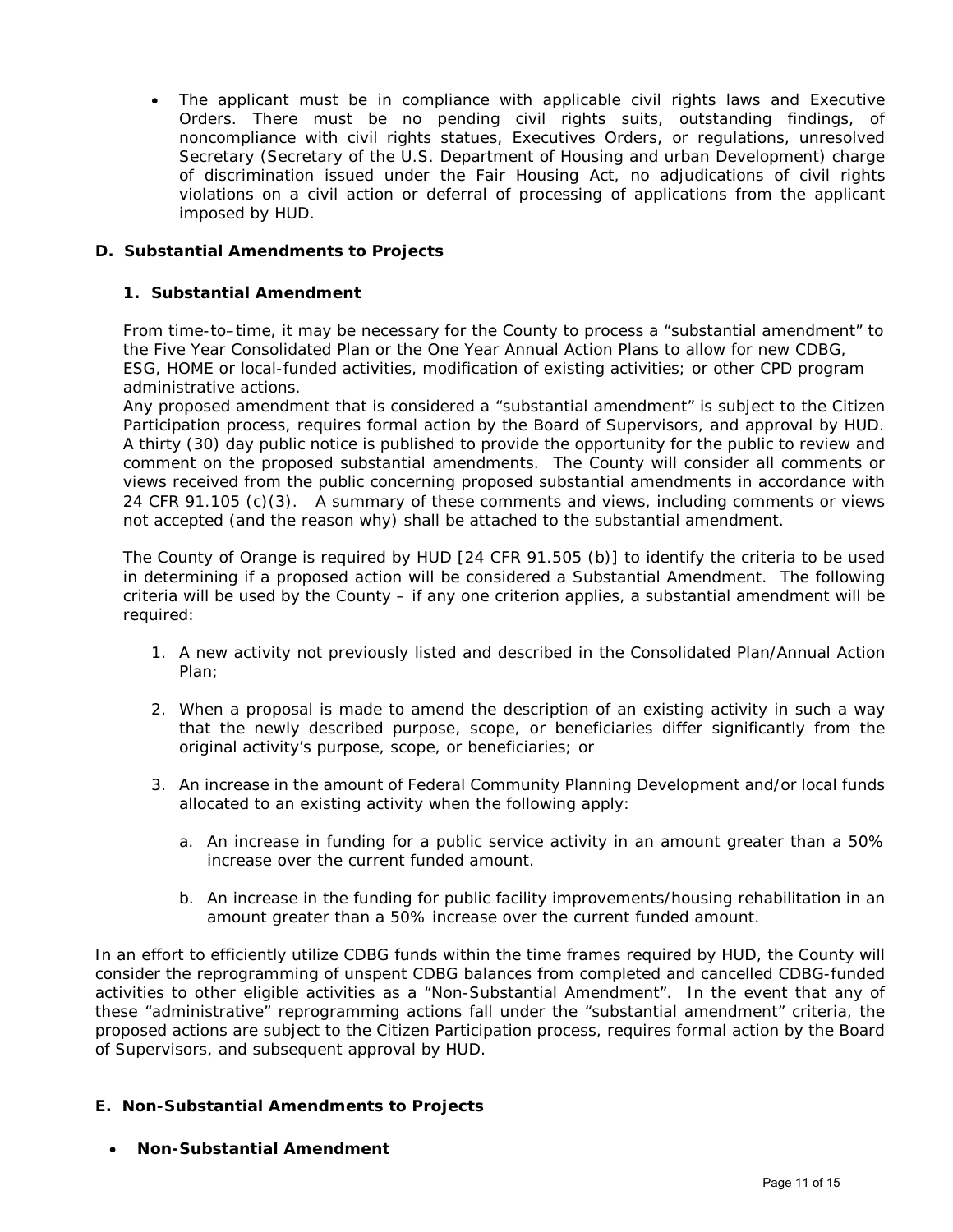• The applicant must be in compliance with applicable civil rights laws and Executive Orders. There must be no pending civil rights suits, outstanding findings, of noncompliance with civil rights statues, Executives Orders, or regulations, unresolved Secretary (Secretary of the U.S. Department of Housing and urban Development) charge of discrimination issued under the Fair Housing Act, no adjudications of civil rights violations on a civil action or deferral of processing of applications from the applicant imposed by HUD.

# **D. Substantial Amendments to Projects**

# **1. Substantial Amendment**

From time-to–time, it may be necessary for the County to process a "substantial amendment" to the Five Year Consolidated Plan or the One Year Annual Action Plans to allow for new CDBG, ESG, HOME or local-funded activities, modification of existing activities; or other CPD program administrative actions.

Any proposed amendment that is considered a "substantial amendment" is subject to the Citizen Participation process, requires formal action by the Board of Supervisors, and approval by HUD. A thirty (30) day public notice is published to provide the opportunity for the public to review and comment on the proposed substantial amendments. The County will consider all comments or views received from the public concerning proposed substantial amendments in accordance with 24 CFR 91.105 (c)(3). A summary of these comments and views, including comments or views not accepted (and the reason why) shall be attached to the substantial amendment.

The County of Orange is required by HUD [24 CFR 91.505 (b)] to identify the criteria to be used in determining if a proposed action will be considered a *Substantial Amendment.* The following criteria will be used by the County – if any one criterion applies, a substantial amendment will be required:

- 1. A new activity not previously listed and described in the Consolidated Plan/Annual Action Plan;
- 2. When a proposal is made to amend the description of an existing activity in such a way that the newly described purpose, scope, or beneficiaries differ significantly from the original activity's purpose, scope, or beneficiaries; or
- 3. An increase in the amount of Federal Community Planning Development and/or local funds allocated to an existing activity when the following apply:
	- a. An increase in funding for a public service activity in an amount greater than a 50% increase over the current funded amount.
	- b. An increase in the funding for public facility improvements/housing rehabilitation in an amount greater than a 50% increase over the current funded amount.

In an effort to efficiently utilize CDBG funds within the time frames required by HUD, the County will consider the reprogramming of unspent CDBG balances from completed and cancelled CDBG-funded activities to other eligible activities as a "Non-Substantial Amendment". In the event that any of these "administrative" reprogramming actions fall under the "substantial amendment" criteria, the proposed actions are subject to the Citizen Participation process, requires formal action by the Board of Supervisors, and subsequent approval by HUD.

# **E. Non-Substantial Amendments to Projects**

• **Non-Substantial Amendment**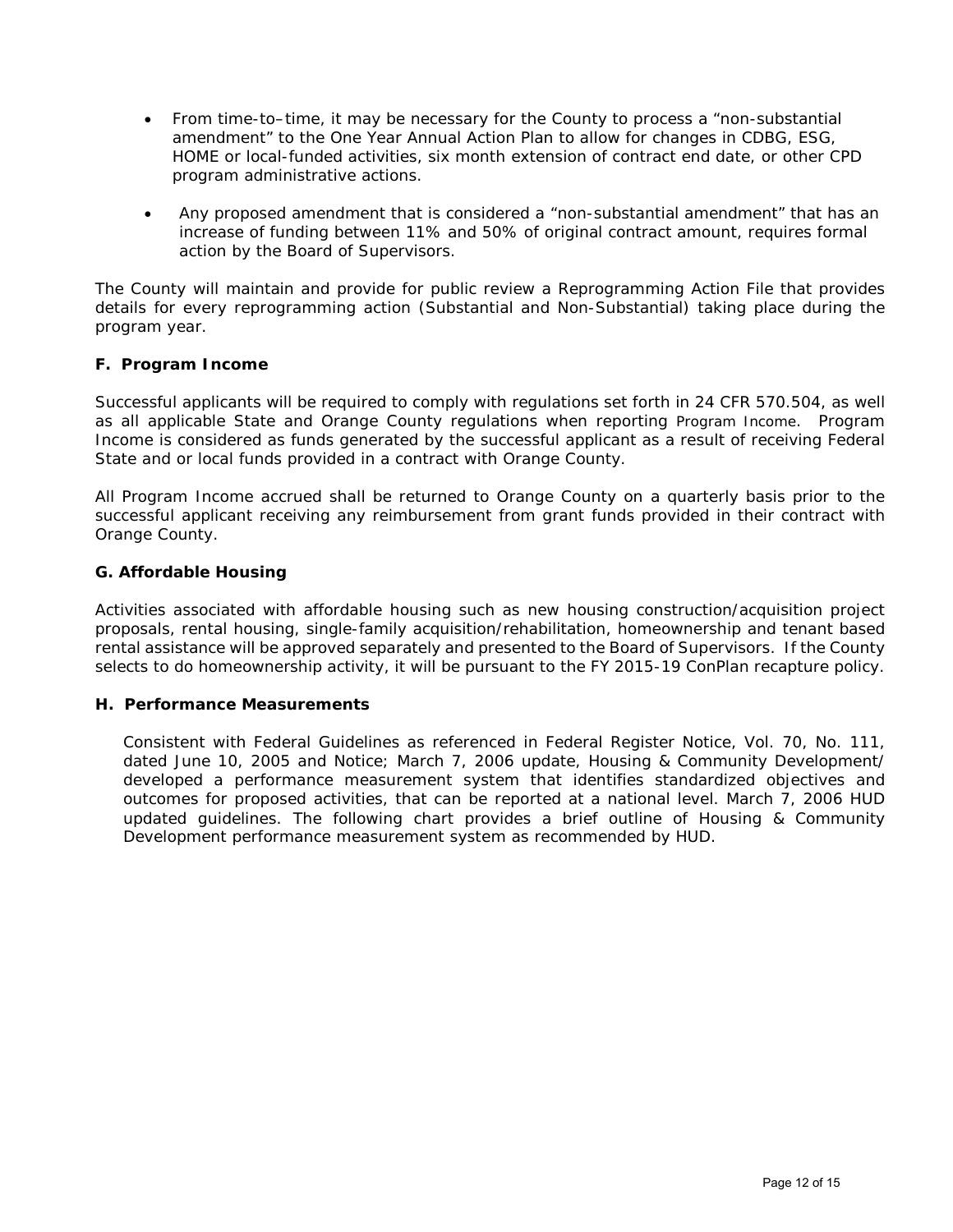- From time-to–time, it may be necessary for the County to process a "non-substantial amendment" to the One Year Annual Action Plan to allow for changes in CDBG, ESG, HOME or local-funded activities, six month extension of contract end date, or other CPD program administrative actions.
- Any proposed amendment that is considered a "non-substantial amendment" that has an increase of funding between 11% and 50% of original contract amount, requires formal action by the Board of Supervisors.

The County will maintain and provide for public review a Reprogramming Action File that provides details for every reprogramming action (Substantial and Non-Substantial) taking place during the program year.

# **F. Program Income**

Successful applicants will be required to comply with regulations set forth in 24 CFR 570.504, as well as all applicable State and Orange County regulations when reporting Program Income. Program Income is considered as funds generated by the successful applicant as a result of receiving Federal State and or local funds provided in a contract with Orange County.

All Program Income accrued shall be returned to Orange County on a quarterly basis prior to the successful applicant receiving any reimbursement from grant funds provided in their contract with Orange County.

# **G. Affordable Housing**

Activities associated with affordable housing such as new housing construction/acquisition project proposals, rental housing, single-family acquisition/rehabilitation, homeownership and tenant based rental assistance will be approved separately and presented to the Board of Supervisors. If the County selects to do homeownership activity, it will be pursuant to the FY 2015-19 ConPlan recapture policy.

# **H. Performance Measurements**

Consistent with Federal Guidelines as referenced in Federal Register Notice, Vol. 70, No. 111, dated June 10, 2005 and Notice; March 7, 2006 update, Housing & Community Development/ developed a performance measurement system that identifies standardized objectives and outcomes for proposed activities, that can be reported at a national level. March 7, 2006 HUD updated guidelines. The following chart provides a brief outline of Housing & Community Development performance measurement system as recommended by HUD.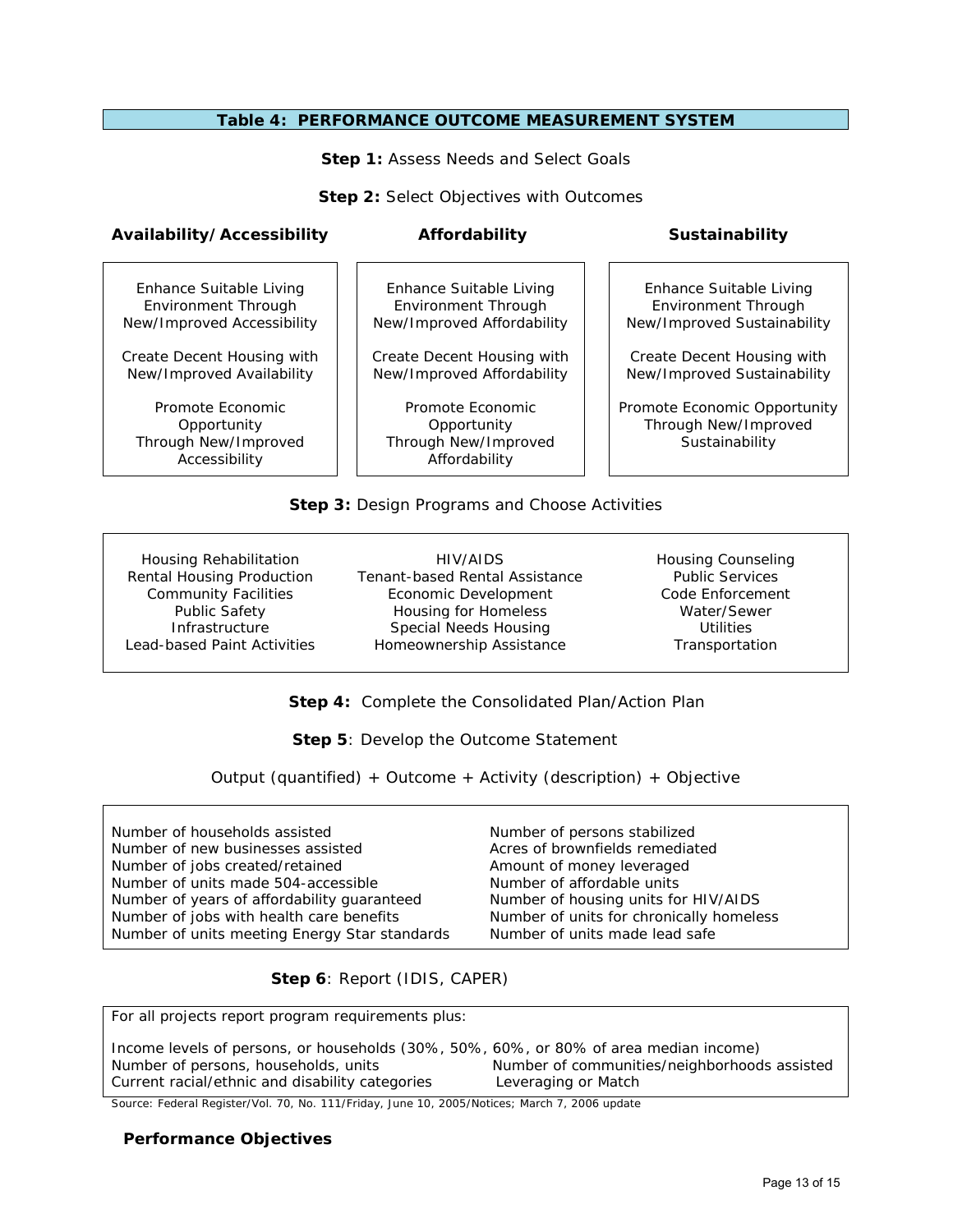#### **Table 4: PERFORMANCE OUTCOME MEASUREMENT SYSTEM**

**Step 1: Assess Needs and Select Goals** 

**Step 2: Select Objectives with Outcomes** 

### **Availability/Accessibility Affordability Sustainability**

Enhance Suitable Living Environment Through New/Improved Accessibility

Create Decent Housing with New/Improved Availability

Promote Economic **Opportunity** Through New/Improved Accessibility

Enhance Suitable Living Environment Through New/Improved Affordability

Create Decent Housing with New/Improved Affordability

Promote Economic **Opportunity** Through New/Improved Affordability

Enhance Suitable Living Environment Through New/Improved Sustainability

Create Decent Housing with New/Improved Sustainability

Promote Economic Opportunity Through New/Improved **Sustainability** 

# **Step 3:** Design Programs and Choose Activities

Housing Rehabilitation Rental Housing Production Community Facilities Public Safety **Infrastructure** Lead-based Paint Activities

HIV/AIDS Tenant-based Rental Assistance Economic Development Housing for Homeless Special Needs Housing Homeownership Assistance

Housing Counseling Public Services Code Enforcement Water/Sewer Utilities Transportation

 **Step 4:** Complete the Consolidated Plan/Action Plan

 **Step 5**: Develop the Outcome Statement

Output (quantified) + Outcome + Activity (description) + Objective

| Number of households assisted                 | Number of persons stabilized             |
|-----------------------------------------------|------------------------------------------|
| Number of new businesses assisted             | Acres of brownfields remediated          |
| Number of jobs created/retained               | Amount of money leveraged                |
| Number of units made 504-accessible           | Number of affordable units               |
| Number of years of affordability guaranteed   | Number of housing units for HIV/AIDS     |
| Number of jobs with health care benefits      | Number of units for chronically homeless |
| Number of units meeting Energy Star standards | Number of units made lead safe           |

 **Step 6**: Report (IDIS, CAPER)

For all projects report program requirements plus:

Income levels of persons, or households (30%, 50%, 60%, or 80% of area median income)<br>Number of persons, households, units<br>Number of communities/neighborhood Number of communities/neighborhoods assisted Current racial/ethnic and disability categories Leveraging or Match

Source: Federal Register/Vol. 70, No. 111/Friday, June 10, 2005/Notices; March 7, 2006 update

#### **Performance Objectives**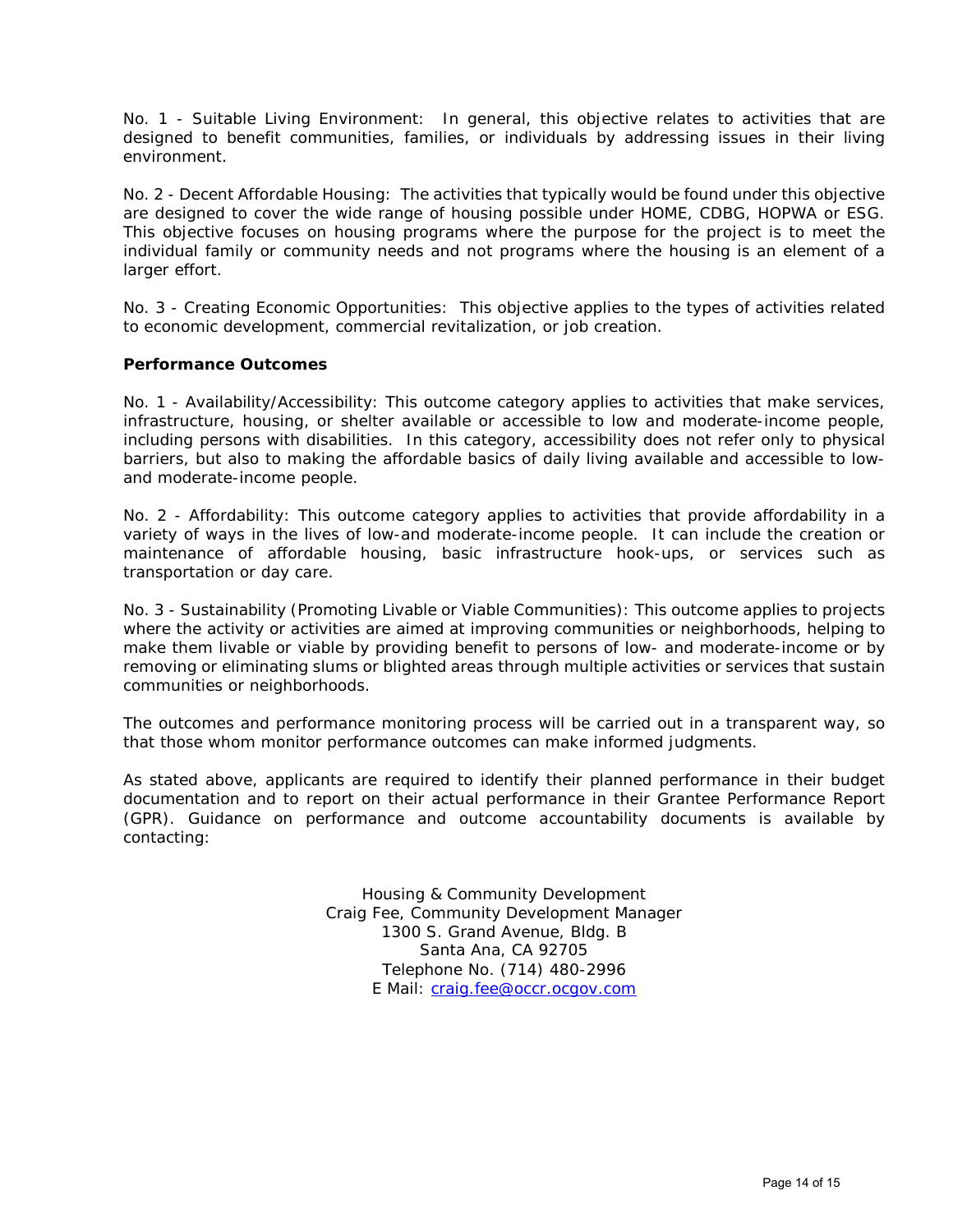No. 1 - Suitable Living Environment: In general, this objective relates to activities that are designed to benefit communities, families, or individuals by addressing issues in their living environment.

No. 2 - Decent Affordable Housing: The activities that typically would be found under this objective are designed to cover the wide range of housing possible under HOME, CDBG, HOPWA or ESG. This objective focuses on housing programs where the purpose for the project is to meet the individual family or community needs and not programs where the housing is an element of a larger effort.

No. 3 - Creating Economic Opportunities: This objective applies to the types of activities related to economic development, commercial revitalization, or job creation.

#### **Performance Outcomes**

No. 1 - Availability/Accessibility: This outcome category applies to activities that make services, infrastructure, housing, or shelter available or accessible to low and moderate-income people, including persons with disabilities. In this category, accessibility does not refer only to physical barriers, but also to making the affordable basics of daily living available and accessible to lowand moderate-income people.

No. 2 - Affordability: This outcome category applies to activities that provide affordability in a variety of ways in the lives of low-and moderate-income people. It can include the creation or maintenance of affordable housing, basic infrastructure hook-ups, or services such as transportation or day care.

No. 3 - Sustainability (Promoting Livable or Viable Communities): This outcome applies to projects where the activity or activities are aimed at improving communities or neighborhoods, helping to make them livable or viable by providing benefit to persons of low- and moderate-income or by removing or eliminating slums or blighted areas through multiple activities or services that sustain communities or neighborhoods.

The outcomes and performance monitoring process will be carried out in a transparent way, so that those whom monitor performance outcomes can make informed judgments.

As stated above, applicants are required to identify their planned performance in their budget documentation and to report on their actual performance in their Grantee Performance Report (GPR). Guidance on performance and outcome accountability documents is available by contacting:

> Housing & Community Development Craig Fee, Community Development Manager 1300 S. Grand Avenue, Bldg. B Santa Ana, CA 92705 Telephone No. (714) 480-2996 E Mail: [craig.fee@occr.ocgov.com](mailto:craig.fee@occr.ocgov.com)